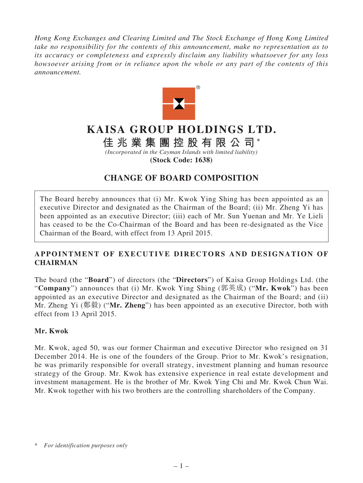*Hong Kong Exchanges and Clearing Limited and The Stock Exchange of Hong Kong Limited take no responsibility for the contents of this announcement, make no representation as to its accuracy or completeness and expressly disclaim any liability whatsoever for any loss howsoever arising from or in reliance upon the whole or any part of the contents of this announcement.*



# **KAISA GROUP HOLDINGS LTD.**

## **佳兆業集團控股有限公司 \***

*(Incorporated in the Cayman Islands with limited liability)* **(Stock Code: 1638)**

### **CHANGE OF BOARD COMPOSITION**

The Board hereby announces that (i) Mr. Kwok Ying Shing has been appointed as an executive Director and designated as the Chairman of the Board; (ii) Mr. Zheng Yi has been appointed as an executive Director; (iii) each of Mr. Sun Yuenan and Mr. Ye Lieli has ceased to be the Co-Chairman of the Board and has been re-designated as the Vice Chairman of the Board, with effect from 13 April 2015.

#### **APPOINTMENT OF EXECUTIVE DIRECTORS AND DESIGNATION OF CHAIRMAN**

The board (the "**Board**") of directors (the "**Directors**") of Kaisa Group Holdings Ltd. (the "**Company**") announces that (i) Mr. Kwok Ying Shing (郭英成) ("**Mr. Kwok**") has been appointed as an executive Director and designated as the Chairman of the Board; and (ii) Mr. Zheng Yi (鄭毅) ("**Mr. Zheng**") has been appointed as an executive Director, both with effect from 13 April 2015.

#### **Mr. Kwok**

Mr. Kwok, aged 50, was our former Chairman and executive Director who resigned on 31 December 2014. He is one of the founders of the Group. Prior to Mr. Kwok's resignation, he was primarily responsible for overall strategy, investment planning and human resource strategy of the Group. Mr. Kwok has extensive experience in real estate development and investment management. He is the brother of Mr. Kwok Ying Chi and Mr. Kwok Chun Wai. Mr. Kwok together with his two brothers are the controlling shareholders of the Company.

<sup>\*</sup> *For identification purposes only*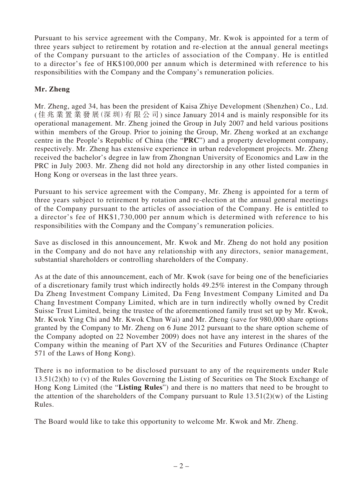Pursuant to his service agreement with the Company, Mr. Kwok is appointed for a term of three years subject to retirement by rotation and re-election at the annual general meetings of the Company pursuant to the articles of association of the Company. He is entitled to a director's fee of HK\$100,000 per annum which is determined with reference to his responsibilities with the Company and the Company's remuneration policies.

#### **Mr. Zheng**

Mr. Zheng, aged 34, has been the president of Kaisa Zhiye Development (Shenzhen) Co., Ltd. (佳兆業置業發展(深 圳)有限公司) since January 2014 and is mainly responsible for its operational management. Mr. Zheng joined the Group in July 2007 and held various positions within members of the Group. Prior to joining the Group, Mr. Zheng worked at an exchange centre in the People's Republic of China (the "**PRC**") and a property development company, respectively. Mr. Zheng has extensive experience in urban redevelopment projects. Mr. Zheng received the bachelor's degree in law from Zhongnan University of Economics and Law in the PRC in July 2003. Mr. Zheng did not hold any directorship in any other listed companies in Hong Kong or overseas in the last three years.

Pursuant to his service agreement with the Company, Mr. Zheng is appointed for a term of three years subject to retirement by rotation and re-election at the annual general meetings of the Company pursuant to the articles of association of the Company. He is entitled to a director's fee of HK\$1,730,000 per annum which is determined with reference to his responsibilities with the Company and the Company's remuneration policies.

Save as disclosed in this announcement, Mr. Kwok and Mr. Zheng do not hold any position in the Company and do not have any relationship with any directors, senior management, substantial shareholders or controlling shareholders of the Company.

As at the date of this announcement, each of Mr. Kwok (save for being one of the beneficiaries of a discretionary family trust which indirectly holds 49.25% interest in the Company through Da Zheng Investment Company Limited, Da Feng Investment Company Limited and Da Chang Investment Company Limited, which are in turn indirectly wholly owned by Credit Suisse Trust Limited, being the trustee of the aforementioned family trust set up by Mr. Kwok, Mr. Kwok Ying Chi and Mr. Kwok Chun Wai) and Mr. Zheng (save for 980,000 share options granted by the Company to Mr. Zheng on 6 June 2012 pursuant to the share option scheme of the Company adopted on 22 November 2009) does not have any interest in the shares of the Company within the meaning of Part XV of the Securities and Futures Ordinance (Chapter 571 of the Laws of Hong Kong).

There is no information to be disclosed pursuant to any of the requirements under Rule 13.51(2)(h) to (v) of the Rules Governing the Listing of Securities on The Stock Exchange of Hong Kong Limited (the "**Listing Rules**") and there is no matters that need to be brought to the attention of the shareholders of the Company pursuant to Rule  $13.51(2)(w)$  of the Listing Rules.

The Board would like to take this opportunity to welcome Mr. Kwok and Mr. Zheng.